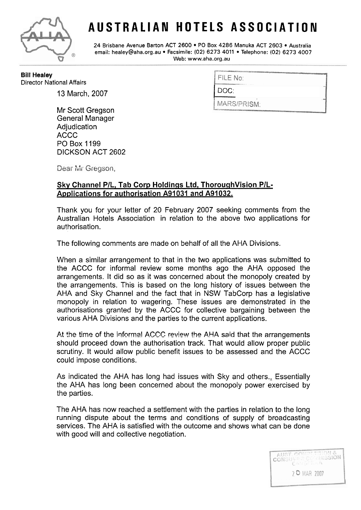

## **AUSTRALIAN HOTELS ASSOCIATION**

**24 Brisbane Avenue Barton ACT 2600** PO **Box 4286 Manuka ACT 2603 Australia email: healey@aha.org.au Facsimile: (02) 6273 4011 Telephone: (02) 6273 4007**  Web: www.aha.org.au

**Bill Healey Director National Affairs** 

13 March, 2007

Mr Scott Gregson General Manager Adjudication ACCC PO Box 1199 DICKSON ACT 2602

|  |  | FILE No: |
|--|--|----------|

DOC:

MARS/PRISM:

Dear Mr Gregson,

## Sky Channel P/L, Tab Corp Holdings Ltd, ThoroughVision P/L-**Applications for authorisation A91 031 and A91 032.**

Thank you for your letter of 20 February 2007 seeking comments from the Australian Hotels Association in relation to the above two applications for authorisation.

The following comments are made on behalf of all the AHA Divisions.

When a similar arrangement to that in the two applications was submitted to the ACCC for informal review some months ago the AHA opposed the arrangements. It did so as it was concerned about the monopoly created by the arrangements. This is based on the long history of issues between the AHA and Sky Channel and the fact that in NSW TabCorp has a legislative monopoly in relation to wagering. These issues are demonstrated in the authorisations granted by the ACCC for collective bargaining between the various AHA Divisions and the parties to the current applications.

At the time of the informal ACCC review the AHA said that the arrangements should proceed down the authorisation track. That would allow proper public scrutiny. It would allow public benefit issues to be assessed and the ACCC could impose conditions.

As indicated the AHA has long had issues with Sky and others., Essentially the AHA has long been concerned about the monopoly power exercised by the parties.

The AHA has now reached a settlement with the parties in relation to the long running dispute about the terms and conditions of supply of broadcasting services. The AHA is satisfied with the outcome and shows what can be done with good will and collective negotiation.

> AUST. CONSULTION & 2 O MAR 2007